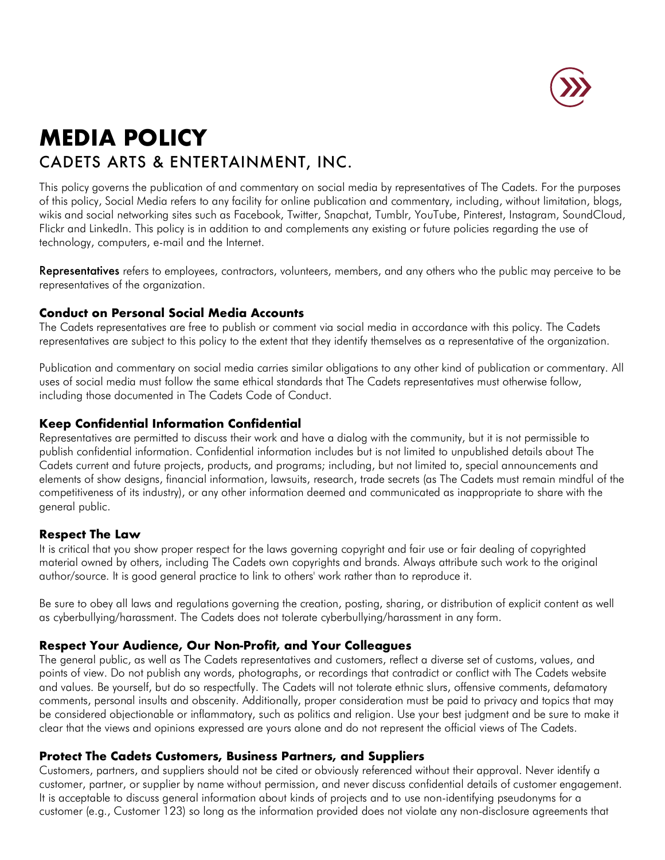

# **MEDIA POLICY** CADETS ARTS & ENTERTAINMENT, INC.

This policy governs the publication of and commentary on social media by representatives of The Cadets. For the purposes of this policy, Social Media refers to any facility for online publication and commentary, including, without limitation, blogs, wikis and social networking sites such as Facebook, Twitter, Snapchat, Tumblr, YouTube, Pinterest, Instagram, SoundCloud, Flickr and LinkedIn. This policy is in addition to and complements any existing or future policies regarding the use of technology, computers, e-mail and the Internet.

Representatives refers to employees, contractors, volunteers, members, and any others who the public may perceive to be representatives of the organization.

## **Conduct on Personal Social Media Accounts**

The Cadets representatives are free to publish or comment via social media in accordance with this policy. The Cadets representatives are subject to this policy to the extent that they identify themselves as a representative of the organization.

Publication and commentary on social media carries similar obligations to any other kind of publication or commentary. All uses of social media must follow the same ethical standards that The Cadets representatives must otherwise follow, including those documented in The Cadets Code of Conduct.

# **Keep Confidential Information Confidential**

Representatives are permitted to discuss their work and have a dialog with the community, but it is not permissible to publish confidential information. Confidential information includes but is not limited to unpublished details about The Cadets current and future projects, products, and programs; including, but not limited to, special announcements and elements of show designs, financial information, lawsuits, research, trade secrets (as The Cadets must remain mindful of the competitiveness of its industry), or any other information deemed and communicated as inappropriate to share with the general public.

### **Respect The Law**

It is critical that you show proper respect for the laws governing copyright and fair use or fair dealing of copyrighted material owned by others, including The Cadets own copyrights and brands. Always attribute such work to the original author/source. It is good general practice to link to others' work rather than to reproduce it.

Be sure to obey all laws and regulations governing the creation, posting, sharing, or distribution of explicit content as well as cyberbullying/harassment. The Cadets does not tolerate cyberbullying/harassment in any form.

# **Respect Your Audience, Our Non-Profit, and Your Colleagues**

The general public, as well as The Cadets representatives and customers, reflect a diverse set of customs, values, and points of view. Do not publish any words, photographs, or recordings that contradict or conflict with The Cadets website and values. Be yourself, but do so respectfully. The Cadets will not tolerate ethnic slurs, offensive comments, defamatory comments, personal insults and obscenity. Additionally, proper consideration must be paid to privacy and topics that may be considered objectionable or inflammatory, such as politics and religion. Use your best judgment and be sure to make it clear that the views and opinions expressed are yours alone and do not represent the official views of The Cadets.

# **Protect The Cadets Customers, Business Partners, and Suppliers**

Customers, partners, and suppliers should not be cited or obviously referenced without their approval. Never identify a customer, partner, or supplier by name without permission, and never discuss confidential details of customer engagement. It is acceptable to discuss general information about kinds of projects and to use non-identifying pseudonyms for a customer (e.g., Customer 123) so long as the information provided does not violate any non-disclosure agreements that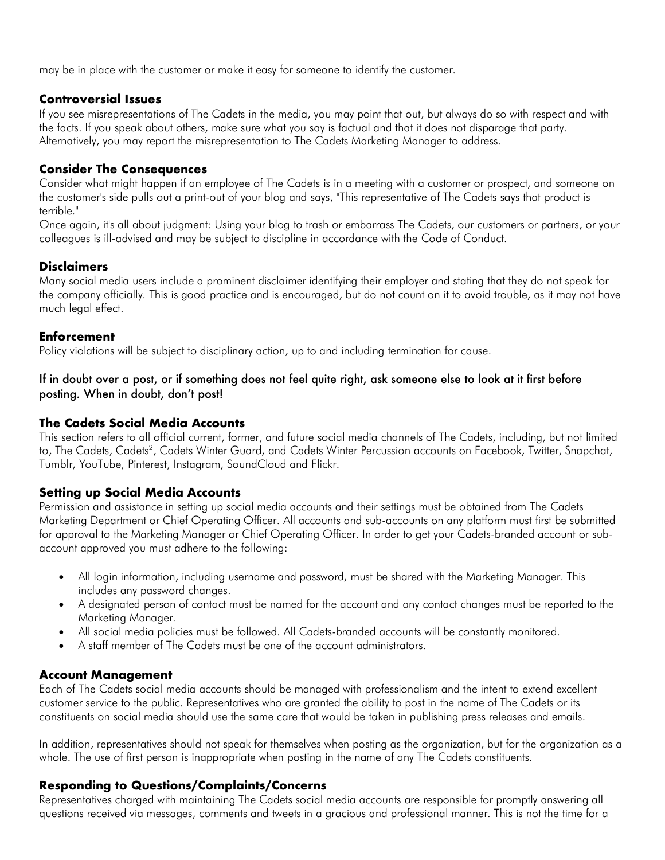may be in place with the customer or make it easy for someone to identify the customer.

#### **Controversial Issues**

If you see misrepresentations of The Cadets in the media, you may point that out, but always do so with respect and with the facts. If you speak about others, make sure what you say is factual and that it does not disparage that party. Alternatively, you may report the misrepresentation to The Cadets Marketing Manager to address.

### **Consider The Consequences**

Consider what might happen if an employee of The Cadets is in a meeting with a customer or prospect, and someone on the customer's side pulls out a print-out of your blog and says, "This representative of The Cadets says that product is terrible."

Once again, it's all about judgment: Using your blog to trash or embarrass The Cadets, our customers or partners, or your colleagues is ill-advised and may be subject to discipline in accordance with the Code of Conduct.

#### **Disclaimers**

Many social media users include a prominent disclaimer identifying their employer and stating that they do not speak for the company officially. This is good practice and is encouraged, but do not count on it to avoid trouble, as it may not have much legal effect.

#### **Enforcement**

Policy violations will be subject to disciplinary action, up to and including termination for cause.

### If in doubt over a post, or if something does not feel quite right, ask someone else to look at it first before posting. When in doubt, don't post!

#### **The Cadets Social Media Accounts**

This section refers to all official current, former, and future social media channels of The Cadets, including, but not limited to, The Cadets, Cadets<sup>2</sup>, Cadets Winter Guard, and Cadets Winter Percussion accounts on Facebook, Twitter, Snapchat, Tumblr, YouTube, Pinterest, Instagram, SoundCloud and Flickr.

#### **Setting up Social Media Accounts**

Permission and assistance in setting up social media accounts and their settings must be obtained from The Cadets Marketing Department or Chief Operating Officer. All accounts and sub-accounts on any platform must first be submitted for approval to the Marketing Manager or Chief Operating Officer. In order to get your Cadets-branded account or subaccount approved you must adhere to the following:

- All login information, including username and password, must be shared with the Marketing Manager. This includes any password changes.
- A designated person of contact must be named for the account and any contact changes must be reported to the Marketing Manager.
- All social media policies must be followed. All Cadets-branded accounts will be constantly monitored.
- A staff member of The Cadets must be one of the account administrators.

#### **Account Management**

Each of The Cadets social media accounts should be managed with professionalism and the intent to extend excellent customer service to the public. Representatives who are granted the ability to post in the name of The Cadets or its constituents on social media should use the same care that would be taken in publishing press releases and emails.

In addition, representatives should not speak for themselves when posting as the organization, but for the organization as a whole. The use of first person is inappropriate when posting in the name of any The Cadets constituents.

### **Responding to Questions/Complaints/Concerns**

Representatives charged with maintaining The Cadets social media accounts are responsible for promptly answering all questions received via messages, comments and tweets in a gracious and professional manner. This is not the time for a